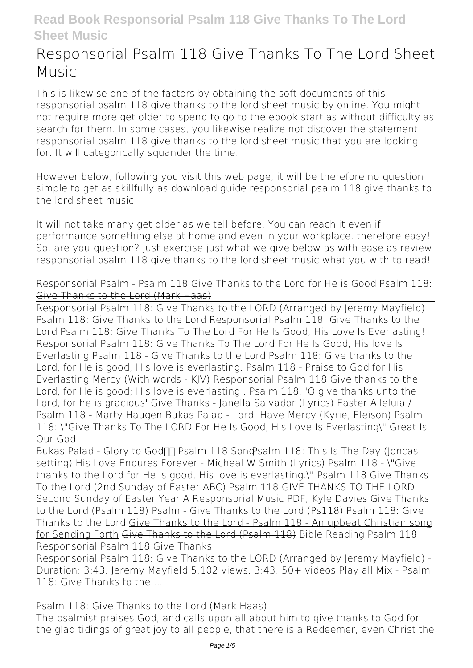# **Responsorial Psalm 118 Give Thanks To The Lord Sheet Music**

This is likewise one of the factors by obtaining the soft documents of this **responsorial psalm 118 give thanks to the lord sheet music** by online. You might not require more get older to spend to go to the ebook start as without difficulty as search for them. In some cases, you likewise realize not discover the statement responsorial psalm 118 give thanks to the lord sheet music that you are looking for. It will categorically squander the time.

However below, following you visit this web page, it will be therefore no question simple to get as skillfully as download guide responsorial psalm 118 give thanks to the lord sheet music

It will not take many get older as we tell before. You can reach it even if performance something else at home and even in your workplace. therefore easy! So, are you question? Just exercise just what we give below as with ease as review **responsorial psalm 118 give thanks to the lord sheet music** what you with to read!

Responsorial Psalm - Psalm 118 Give Thanks to the Lord for He is Good Psalm 118: Give Thanks to the Lord (Mark Haas)

Responsorial Psalm 118: Give Thanks to the LORD (Arranged by Jeremy Mayfield) *Psalm 118: Give Thanks to the Lord Responsorial Psalm 118: Give Thanks to the Lord* **Psalm 118: Give Thanks To The Lord For He Is Good, His Love Is Everlasting! Responsorial Psalm 118: Give Thanks To The Lord For He Is Good, His love Is Everlasting** *Psalm 118 - Give Thanks to the Lord* **Psalm 118: Give thanks to the Lord, for He is good, His love is everlasting.** *Psalm 118 - Praise to God for His Everlasting Mercy (With words - KJV)* Responsorial Psalm 118 Give thanks to the Lord, for He is good; His love is everlasting . Psalm 118, 'O give thanks unto the Lord, for he is gracious' Give Thanks - Janella Salvador (Lyrics) **Easter Alleluia / Psalm 118 - Marty Haugen** Bukas Palad - Lord, Have Mercy (Kyrie, Eleison) **Psalm 118: \"Give Thanks To The LORD For He Is Good, His Love Is Everlasting\"** Great Is Our God

Bukas Palad - Glory to God<sup>n</sup> Psalm 118 Song Psalm 118: This Is The Day (Joncas setting) *His Love Endures Forever - Micheal W Smith (Lyrics) Psalm 118 - \"Give thanks to the Lord for He is good, His love is everlasting.\"* Psalm 118 Give Thanks To the Lord (2nd Sunday of Easter ABC) *Psalm 118 GIVE THANKS TO THE LORD Second Sunday of Easter Year A Responsorial Music PDF, Kyle Davies Give Thanks to the Lord (Psalm 118) Psalm - Give Thanks to the Lord (Ps118)* **Psalm 118: Give Thanks to the Lord** Give Thanks to the Lord - Psalm 118 - An upbeat Christian song for Sending Forth Give Thanks to the Lord (Psalm 118) *Bible Reading Psalm 118 Responsorial Psalm 118 Give Thanks*

Responsorial Psalm 118: Give Thanks to the LORD (Arranged by Jeremy Mayfield) - Duration: 3:43. Jeremy Mayfield 5,102 views. 3:43. 50+ videos Play all Mix - Psalm 118: Give Thanks to the ...

*Psalm 118: Give Thanks to the Lord (Mark Haas)*

The psalmist praises God, and calls upon all about him to give thanks to God for the glad tidings of great joy to all people, that there is a Redeemer, even Christ the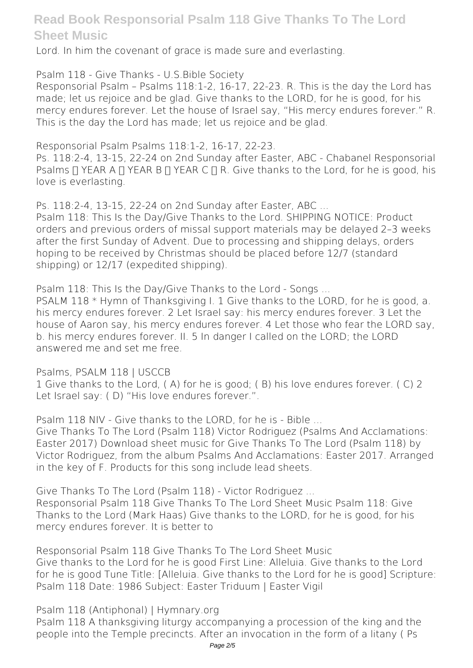Lord. In him the covenant of grace is made sure and everlasting.

*Psalm 118 - Give Thanks - U.S.Bible Society*

Responsorial Psalm – Psalms 118:1-2, 16-17, 22-23. R. This is the day the Lord has made; let us rejoice and be glad. Give thanks to the LORD, for he is good, for his mercy endures forever. Let the house of Israel say, "His mercy endures forever." R. This is the day the Lord has made; let us rejoice and be glad.

*Responsorial Psalm Psalms 118:1-2, 16-17, 22-23.*

Ps. 118:2-4, 13-15, 22-24 on 2nd Sunday after Easter, ABC - Chabanel Responsorial Psalms  $\Pi$  YEAR A  $\Pi$  YEAR B  $\Pi$  YEAR C  $\Pi$  R. Give thanks to the Lord, for he is good, his love is everlasting.

*Ps. 118:2-4, 13-15, 22-24 on 2nd Sunday after Easter, ABC ...*

Psalm 118: This Is the Day/Give Thanks to the Lord. SHIPPING NOTICE: Product orders and previous orders of missal support materials may be delayed 2–3 weeks after the first Sunday of Advent. Due to processing and shipping delays, orders hoping to be received by Christmas should be placed before 12/7 (standard shipping) or 12/17 (expedited shipping).

*Psalm 118: This Is the Day/Give Thanks to the Lord - Songs ...*

PSALM 118 \* Hymn of Thanksgiving I. 1 Give thanks to the LORD, for he is good, a. his mercy endures forever. 2 Let Israel say: his mercy endures forever. 3 Let the house of Aaron say, his mercy endures forever. 4 Let those who fear the LORD say, b. his mercy endures forever. II. 5 In danger I called on the LORD; the LORD answered me and set me free.

*Psalms, PSALM 118 | USCCB*

1 Give thanks to the Lord, ( A) for he is good; ( B) his love endures forever. ( C) 2 Let Israel say: (D) "His love endures forever.".

*Psalm 118 NIV - Give thanks to the LORD, for he is - Bible ...*

Give Thanks To The Lord (Psalm 118) Victor Rodriguez (Psalms And Acclamations: Easter 2017) Download sheet music for Give Thanks To The Lord (Psalm 118) by Victor Rodriguez, from the album Psalms And Acclamations: Easter 2017. Arranged in the key of F. Products for this song include lead sheets.

*Give Thanks To The Lord (Psalm 118) - Victor Rodriguez ...* Responsorial Psalm 118 Give Thanks To The Lord Sheet Music Psalm 118: Give Thanks to the Lord (Mark Haas) Give thanks to the LORD, for he is good, for his mercy endures forever. It is better to

*Responsorial Psalm 118 Give Thanks To The Lord Sheet Music* Give thanks to the Lord for he is good First Line: Alleluia. Give thanks to the Lord for he is good Tune Title: [Alleluia. Give thanks to the Lord for he is good] Scripture: Psalm 118 Date: 1986 Subject: Easter Triduum | Easter Vigil

*Psalm 118 (Antiphonal) | Hymnary.org*

Psalm 118 A thanksgiving liturgy accompanying a procession of the king and the people into the Temple precincts. After an invocation in the form of a litany ( Ps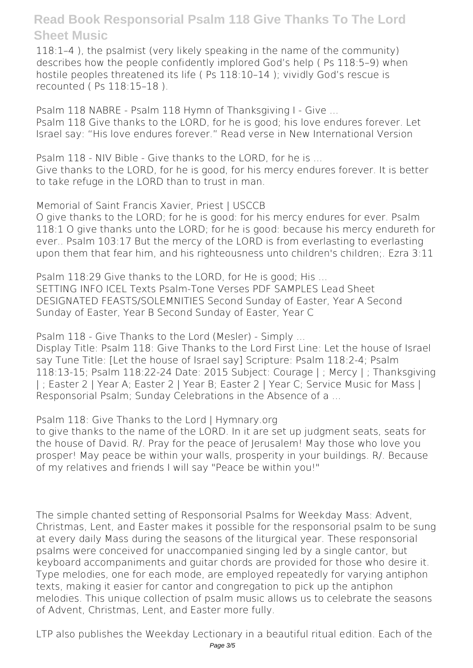118:1–4 ), the psalmist (very likely speaking in the name of the community) describes how the people confidently implored God's help ( Ps 118:5–9) when hostile peoples threatened its life ( Ps 118:10–14 ); vividly God's rescue is recounted ( Ps 118:15–18 ).

*Psalm 118 NABRE - Psalm 118 Hymn of Thanksgiving I - Give ...* Psalm 118 Give thanks to the LORD, for he is good; his love endures forever. Let Israel say: "His love endures forever." Read verse in New International Version

*Psalm 118 - NIV Bible - Give thanks to the LORD, for he is ...* Give thanks to the LORD, for he is good, for his mercy endures forever. It is better to take refuge in the LORD than to trust in man.

*Memorial of Saint Francis Xavier, Priest | USCCB*

O give thanks to the LORD; for he is good: for his mercy endures for ever. Psalm 118:1 O give thanks unto the LORD; for he is good: because his mercy endureth for ever.. Psalm 103:17 But the mercy of the LORD is from everlasting to everlasting upon them that fear him, and his righteousness unto children's children;. Ezra 3:11

*Psalm 118:29 Give thanks to the LORD, for He is good; His ...* SETTING INFO ICEL Texts Psalm-Tone Verses PDF SAMPLES Lead Sheet DESIGNATED FEASTS/SOLEMNITIES Second Sunday of Easter, Year A Second Sunday of Easter, Year B Second Sunday of Easter, Year C

*Psalm 118 - Give Thanks to the Lord (Mesler) - Simply ...*

Display Title: Psalm 118: Give Thanks to the Lord First Line: Let the house of Israel say Tune Title: [Let the house of Israel say] Scripture: Psalm 118:2-4: Psalm 118:13-15; Psalm 118:22-24 Date: 2015 Subject: Courage | ; Mercy | ; Thanksgiving | ; Easter 2 | Year A; Easter 2 | Year B; Easter 2 | Year C; Service Music for Mass | Responsorial Psalm; Sunday Celebrations in the Absence of a ...

*Psalm 118: Give Thanks to the Lord | Hymnary.org*

to give thanks to the name of the LORD. In it are set up judgment seats, seats for the house of David. R/. Pray for the peace of Jerusalem! May those who love you prosper! May peace be within your walls, prosperity in your buildings. R/. Because of my relatives and friends I will say "Peace be within you!"

The simple chanted setting of Responsorial Psalms for Weekday Mass: Advent, Christmas, Lent, and Easter makes it possible for the responsorial psalm to be sung at every daily Mass during the seasons of the liturgical year. These responsorial psalms were conceived for unaccompanied singing led by a single cantor, but keyboard accompaniments and guitar chords are provided for those who desire it. Type melodies, one for each mode, are employed repeatedly for varying antiphon texts, making it easier for cantor and congregation to pick up the antiphon melodies. This unique collection of psalm music allows us to celebrate the seasons of Advent, Christmas, Lent, and Easter more fully.

LTP also publishes the Weekday Lectionary in a beautiful ritual edition. Each of the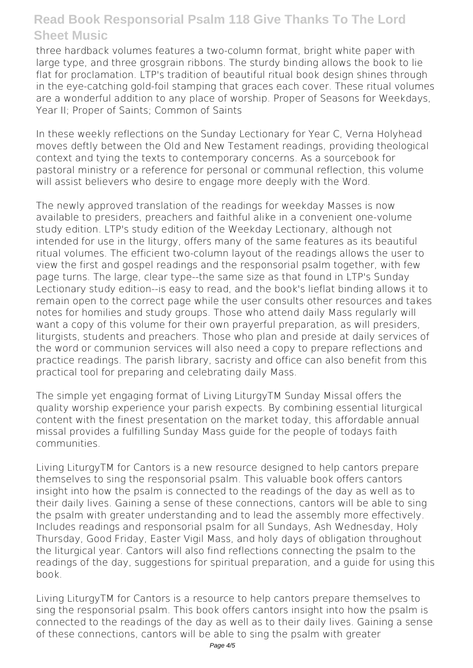three hardback volumes features a two-column format, bright white paper with large type, and three grosgrain ribbons. The sturdy binding allows the book to lie flat for proclamation. LTP's tradition of beautiful ritual book design shines through in the eye-catching gold-foil stamping that graces each cover. These ritual volumes are a wonderful addition to any place of worship. Proper of Seasons for Weekdays, Year II; Proper of Saints; Common of Saints

In these weekly reflections on the Sunday Lectionary for Year C, Verna Holyhead moves deftly between the Old and New Testament readings, providing theological context and tying the texts to contemporary concerns. As a sourcebook for pastoral ministry or a reference for personal or communal reflection, this volume will assist believers who desire to engage more deeply with the Word.

The newly approved translation of the readings for weekday Masses is now available to presiders, preachers and faithful alike in a convenient one-volume study edition. LTP's study edition of the Weekday Lectionary, although not intended for use in the liturgy, offers many of the same features as its beautiful ritual volumes. The efficient two-column layout of the readings allows the user to view the first and gospel readings and the responsorial psalm together, with few page turns. The large, clear type--the same size as that found in LTP's Sunday Lectionary study edition--is easy to read, and the book's lieflat binding allows it to remain open to the correct page while the user consults other resources and takes notes for homilies and study groups. Those who attend daily Mass regularly will want a copy of this volume for their own prayerful preparation, as will presiders, liturgists, students and preachers. Those who plan and preside at daily services of the word or communion services will also need a copy to prepare reflections and practice readings. The parish library, sacristy and office can also benefit from this practical tool for preparing and celebrating daily Mass.

The simple yet engaging format of Living LiturgyTM Sunday Missal offers the quality worship experience your parish expects. By combining essential liturgical content with the finest presentation on the market today, this affordable annual missal provides a fulfilling Sunday Mass guide for the people of todays faith communities.

Living LiturgyTM for Cantors is a new resource designed to help cantors prepare themselves to sing the responsorial psalm. This valuable book offers cantors insight into how the psalm is connected to the readings of the day as well as to their daily lives. Gaining a sense of these connections, cantors will be able to sing the psalm with greater understanding and to lead the assembly more effectively. Includes readings and responsorial psalm for all Sundays, Ash Wednesday, Holy Thursday, Good Friday, Easter Vigil Mass, and holy days of obligation throughout the liturgical year. Cantors will also find reflections connecting the psalm to the readings of the day, suggestions for spiritual preparation, and a guide for using this book.

Living LiturgyTM for Cantors is a resource to help cantors prepare themselves to sing the responsorial psalm. This book offers cantors insight into how the psalm is connected to the readings of the day as well as to their daily lives. Gaining a sense of these connections, cantors will be able to sing the psalm with greater